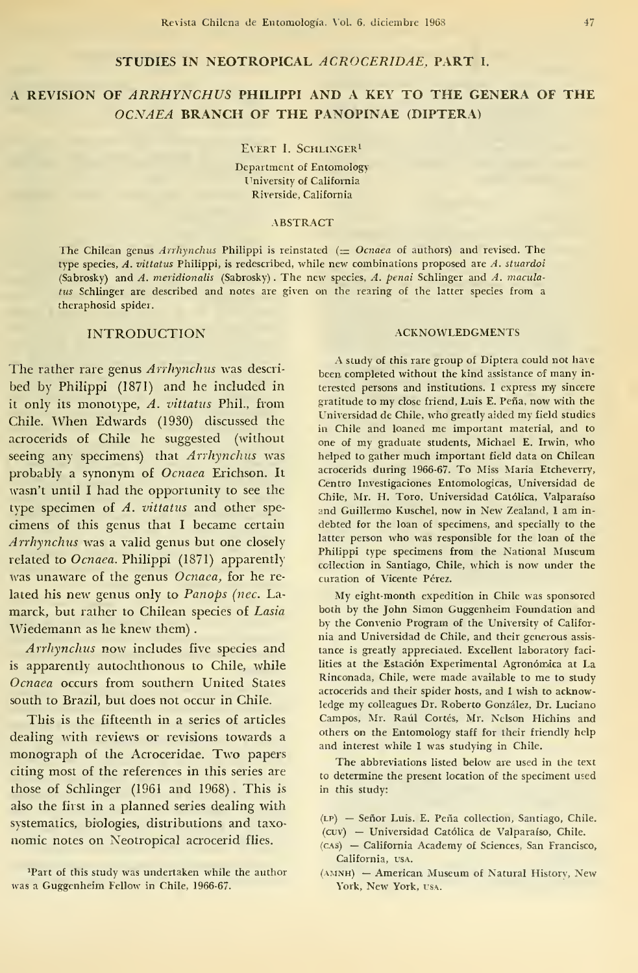### STUDIES IN NEOTROPICAL ACROCERIDAE, PART I.

# A REVISION OF ARRHYNCHUS PHILIPPI AND A KEY TO THE GENERA OF THE OCNAEA BRANCH OF THE PANOPINAE (DÍPTERA)

EVERT I. SCHLINGER<sup>1</sup>

Department of Entomology University of California Riverside, California

#### ABSTRACT

The Chilean genus Arrhynchus Philippi is reinstated  $(= Ocnaea$  of authors) and revised. The type species,  $A$ . vittatus Philippi, is redescribed, while new combinations proposed are  $A$ . stuardoi (Sabrosky) and A. meridionalis (Sabrosky) . The new species, A. penai Schlinger and A. maculatus Schlinger are described and notes are given on the rearing of the latter species from a theraphosid spider.

### INTRODUCTION

The rather rare genus Arrhynchus was described by Philippi (1871) and he included in it only its monotype, A. vittatus Phil., from Chile. When Edwards (1930) discussed the acrocerids of Chile he suggested (without seeing any specimens) that Arrhynchus was probably a synonym of Ocnaea Erichson. It wasn't until <sup>I</sup> had the opportunity to see the type specimen of A. vittatus and other spe cimens of this genus that <sup>I</sup> became certain Arrhynchus was a valid genus but one closely related to Ocnaea. Philippi (1871) apparently was unaware of the genus Ocnaea, for he related his new genus only to Panops (nec. La marck, but rather to Chilean species of Lasia Wiedemann as he knew them)

Arrhynchus now includes five species and is apparently autochthonous to Chile, while Ocnaea oceurs from southern United States south to Brazil, but does not oceur in Chile.

This is the fifteenth in a series of articles dealing with reviews or revisions towards a monograph of the Acroceridae. Two papers citing most of the references in this series are those of Schlinger (1961 and 1968) . This is also the first in a planned series dealing with systematics, biologies, distributions and taxo nomic notes on Neotropical acrocerid flies.

### ACKNOWLEDGMENTS

A study of this rare group of Díptera could not have been, completed without the kind assistance of many in terested persons and institutions. I express my sincere gratitude to my cióse friend, Luis E. Peña, now with the Universidad de Chile, who greatly aided my field studies in Chile and loaned me important material, and to one of my gradúate students, Michael E. Irwin, who helped to gather much important field data on Chilean acrocerids during 1966-67. To Miss Maria Etcheverry, Centro Investigaciones Entomológicas, Universidad de Chile, Mr. H. Toro, Universidad Católica, Valparaíso and Guillermo Kuschel, now in New Zealand, <sup>I</sup> am in debted for the loan of specimens, and specially to the latter person who was responsible for the loan of the Philippi type specimens from the National Museum ccllection in Santiago, Chile, which is now under the curation of Vicente Pérez.

My eight-month expedition in Chile was sponsored both by the John Simon Guggenheim Foundation and by the Convenio Program of the University of Califor nia and Universidad de Chile, and their generous assis tance is greatly appreciated. Excellent laboratory facilities at the Estación Experimental Agronómica at La Rinconada, Chile, were made available to me to study acrocerids and their spider hosts, and I wish to acknowledge my colleagues Dr. Roberto González, Dr. Luciano Campos, Mr. Raúl Cortés, Mr. Nelson Hichins and others on the Entomology staff for their friendly help and interest while <sup>I</sup> was studying in Chile.

The abbreviations listed below are used in the text to determine the present location of the speciment used in this study:

- (lp) Señor Luis. E. Peña collection, Santiago, Chile, (cuv) — Universidad Católica de Valparaíso, Chile.
- (cas) California Academy of Sciences, San Francisco, California, usa.
- (amnh) American Museum of Natural History, New York, New York, usa.

<sup>&#</sup>x27;Part of this study was undertaken while the author was a Guggenheim Fellow in Chile, 1966-67.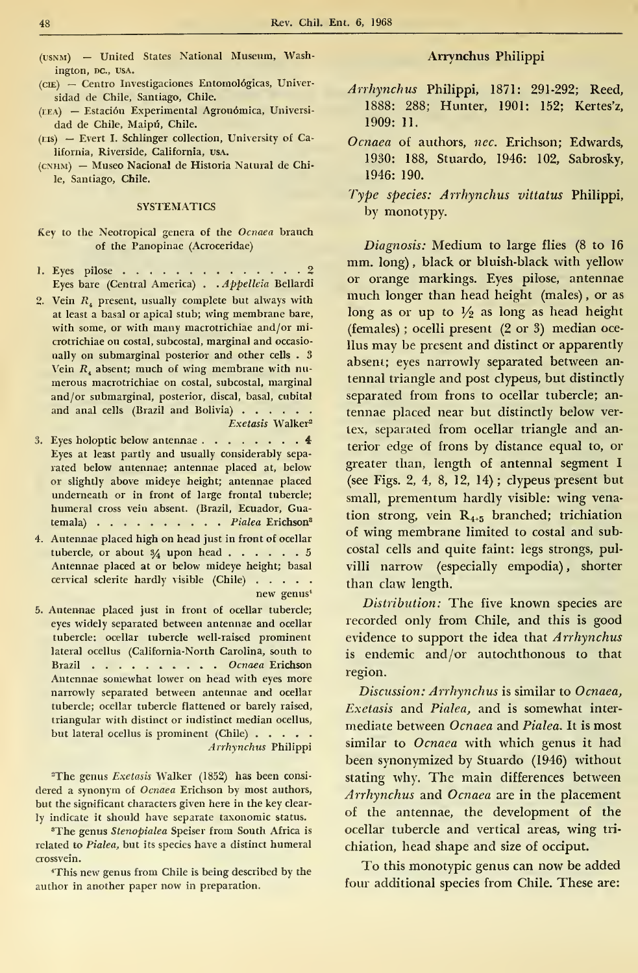- (usnm) United States National Museum, Washington, DC., USA.
- (cíe) Centro Investigaciones Entomológicas, Universidad de Chile, Santiago, Chile.
- (eea) Estación Experimental Agronómica, Universi dad de Chile, Maipú, Chile.
- (eis) Evert I. Schlinger collection, University of California, Riverside, California, usa.
- (cnhm) Museo Nacional de Historia Natural de Chile, Santiago, Chile.

### **SYSTEMATICS**

- Key to the Neotropical genera of the Ocnaea branch of the Panopinae (Acroceridae)
- 1. Eyes pilose . . . . . . . . . . . . . 2 Eyes bare (Central America) . . Appelleia Bellardi
- 2. Vein  $R<sub>4</sub>$  present, usually complete but always with at least a basal or apical stub; wing membrane bare, with some, or with many macrotrichiae and/or microtrichiae on costal, subcostal, marginal and occasio nally on submarginal posterior and other cells . 3 Vein  $R<sub>i</sub>$  absent; much of wing membrane with numerous macrotrichiae on costal, subcostal, marginal and/or submarginal, posterior, discal, basal, cubital and anal cells (Brazil and Bolivia)Exetasis Walker<sup>2</sup>
- 3. Eyes holoptic below antennae  $\cdots$   $\cdots$   $\cdots$   $\cdots$  4 Eyes at least partly and usually considerably sepa rated below antennae; antennae placed at, below or slightly above mideye height; antennae placed underneath or in front of large frontal tubercle; humeral cross vein absent. (Brazil, Ecuador, Guatemala) . . . . . . . . . Pialea Erichson<sup>3</sup>
- 4. Antennae placed high on head just in front of ocellar tubercle, or about  $\frac{3}{4}$  upon head  $\ldots$   $\ldots$   $\ldots$  5 Antennae placed at or below mideye height; basal cervical sclerite hardly visible (Chile) new genus\*
- 5. Antennae placed just in front of ocellar tubercle; eyes widely separated between antennae and ocellar tubercle: ocellar tubercle well-raised prominent lateral ocellus (California-North Carolina, south to Brazil . . . . . . . . Ocnaea Erichson Antennae somewhat lower on head with eyes more narrowly separated between antennae and ocellar tubercle; ocellar tubercle flattened or barely raised, triangular with distinct or indistinct median ocellus, but lateral ocellus is prominent (Chile) . . . . . Arrhynchus Philippi

<sup>2</sup>The genus Exetasis Walker (1852) has been considered a synonym of Ocnaea Erichson by most authors, but the significant characters given here in the key clearly indicate it should have separate taxonomic status.

<sup>3</sup>The genus Stenopialea Speiser from South África is related to Pialea, but its species have a distinct humeral crossvein.

'This new genus from Chile is being described by the author in another paper now in preparation.

### Arrynchus Philippi

- Arrhynchus Philippi, 1871: 291-292; Reed, 1888: 288; Hunter, 1901: 152; Kertes'z, 1909: 11.
- Ocnaea oí authors, nec. Erichson; Edwards, 1930: 188, Stuardo, 1946: 102, Sabrosky, 1946: 190.
- Type species: Arrhynchus vittatus Philippi, by monotypy.

Diagnosis: Medium to large flies (8 to 16 mm. long) , black or bluish-black with yellow or orange markings. Eyes pilóse, antennae much longer than head height (males) , or as long as or up to  $\frac{1}{2}$  as long as head height (females) ; ocelli present (2 or 3) median ocellus may be present and distinct or apparently absent; eyes narrowly separated between an tennal triangle and post clypeus, but distinctly separated from frons to ocellar tubercle; an tennae placed near but distinctly below vertex, separated from ocellar triangle and anterior edge of frons by distance equal to, or greater than, length of antennal segment <sup>I</sup> (see Figs. 2, 4, 8, 12, 14) ; clypeus present but small, prementum hardly visible: wing venation strong, vein R4+5 branched; trichiation of wing membrane limited to costal and subcostal cells and quite faint: legs strongs, pulvilli narrow (especially empodia), shorter than claw length.

Distribution: The five known species are recorded only from Chile, and this is good evidence to support the idea that Arrhynchus is endemic and/or autochthonous to that región.

Discussion: Arrhynchus is similar to Ocnaea, Exetasis and Pialea, and is somewhat inter medíate between Ocnaea and Pialea. It is most similar to Ocnaea with which genus it had been synonymized by Stuardo (1946) without stating why. The main differences between Arrhynchus and Ocnaea are in the placement of the antennae, the development of the ocellar tubercle and vertical areas, wing trichiation, head shape and size of occiput.

To this monotypic genus can now be added four additional species from Chile. These are: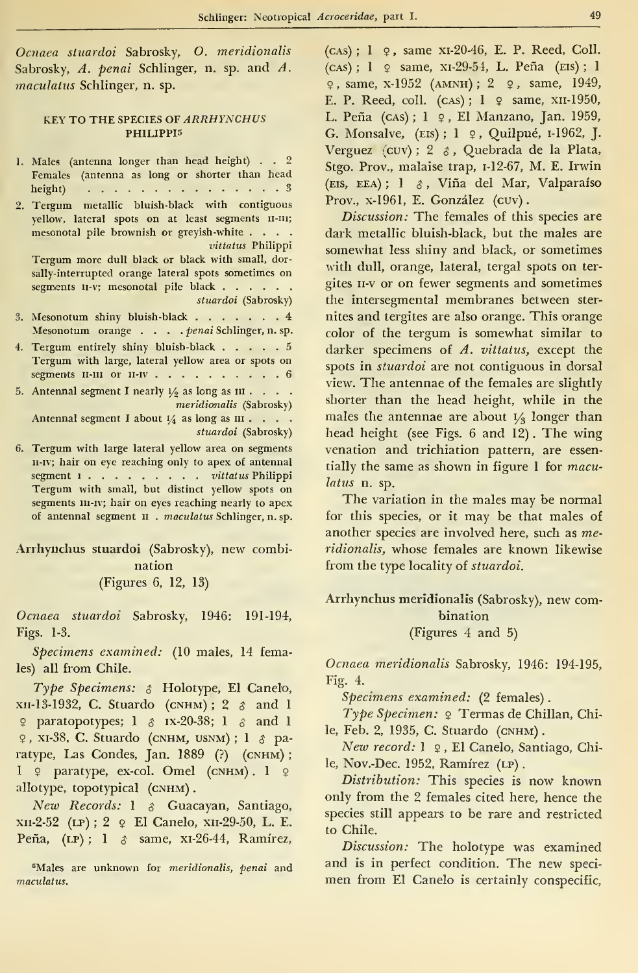Ocnaea stuardoi Sabrosky, O. meridionális Sabrosky, A. penai Schlinger, n. sp. and A. maculatus Schlinger, n. sp.

### KEY TO THE SPECIES OF ARRHYNCHUS PH1LIPPI5

| 1. Males (antenna longer than head height) 2                                      | Stg             |
|-----------------------------------------------------------------------------------|-----------------|
| Females (antenna as long or shorter than head                                     |                 |
| height) $\cdots$ $\cdots$ $\cdots$ $\cdots$ $\cdots$ $\cdots$ $\cdots$ $\cdots$ 3 | (EI)            |
| 2. Tergum metallic bluish-black with contiguous                                   | Pr              |
| yellow, lateral spots on at least segments II-III;                                |                 |
| mesonotal pile brownish or greyish-white                                          | da              |
| vittatus Philippi                                                                 | SO <sub>1</sub> |
| Tergum more dull black or black with small, dor-                                  | wi              |
| sally-interrupted orange lateral spots sometimes on                               |                 |
| segments II-v; mesonotal pile black                                               | git             |
| stuardoi (Sabrosky)                                                               | th              |
| 3. Mesonotum shiny bluish-black 4                                                 | ni              |
| Mesonotum orange penai Schlinger, n. sp.                                          | co.             |
| 4. Tergum entirely shiny bluish-black 5                                           | da              |
| Tergum with large, lateral yellow area or spots on                                |                 |
| segments II-III or II-IV 6                                                        | sp              |
| 5. Antennal segment I nearly $1/2$ as long as $III \cdot \cdot \cdot$ .           | vie             |
| meridionalis (Sabrosky)                                                           | sh              |
| Antennal segment I about $1/4$ as long as III                                     | ma              |
| stuardoi (Sabrosky)                                                               | he              |
| 6. Tergum with large lateral yellow area on segments                              | vei             |

II-IV; hair on eye reaching only to apex of antennal segment 1 . . . . . . . . vittatus Philippi Tergum with small, but distinct yellow spots on segments III-IV; hair on eyes reaching nearly to apex of antennal segment <sup>11</sup> . maculatus Schlinger, n. sp.

Arrhynchus stuardoi (Sabrosky), new combination (Figures 6, 12, 13)

Ocnaea stuardoi Sabrosky, 1946: 191-194, Figs. 1-3.

Specimens examined: (10 males, 14 females) all from Chile.

Type Specimens: & Holotype, El Canelo,  $xn-13-1932$ , C. Stuardo (CNHM); 2  $\delta$  and 1  $9$  paratopotypes; 1  $8$  ix-20-38; 1  $8$  and 1 9 , xi-38, C. Stuardo (cnhm, usnm) ; <sup>1</sup> \$ paratype, Las Condes, Jan. 1889 (?) (CNHM); 1  $\varphi$  paratype, ex-col. Omel (CNHM). 1  $\varphi$ allotype, topotypical (CNHM).

New Records: 1 & Guacayan, Santiago, xn-2-52 (lp) ; 2 9 El Canelo, xn-29-50, L. E. Peña, (LP); 1 & same, xI-26-44, Ramírez,

<sup>5</sup>Males are unknown for meridionalis, penai and maculatus.

(cas) ; <sup>1</sup> 9 , same xi-20-46, E. P. Reed, Coll. (cas) ; <sup>1</sup> 9 same, xi-29-54, L. Peña (eis) ; <sup>1</sup> <sup>9</sup> , same, x-1952 (amnh) ; 2 9 , same, 1949, E. P. Reed, coll. (cas);  $1 \text{ } 9$  same, xII-1950, L. Peña (cas); 1 º, El Manzano, Jan. 1959, G. Monsalve, (eis) ; <sup>1</sup> <sup>9</sup> , Quilpué, 1-1962, J. Verguez (cuv) ; 2 á, Quebrada de la Plata, Stgo. Prov., malaise trap, 1-12-67, M. E. Irwin (eis, eea) ; <sup>1</sup> \$ , Viña del Mar, Valparaíso Prov., x-1961, E. González (cuv).

Discussion: The females of this species are dark metallic bluish-black, but the males are somewhat less shiny and black, or sometimes with dull, orange, lateral, tergal spots on ter gites 11-v or on fewer segments and sometimes the intersegmental membranes between ster nites and tergites are also orange. This orange color of the tergum is somewhat similar to darker specimens of A. vittatus, except the spots in stuardoi are not contiguous in dorsal view. The antennae of the females are slightly shorter than the head height, while in the males the antennae are about  $\frac{1}{3}$  longer than head height (see Figs. 6 and 12) . The wing venation and trichiation pattern, are essentially the same as shown in figure  $1$  for maculatus n. sp.

The variation in the males may be normal for this species, or it may be that males of another species are involved here, such as meridionális, whose females are known likewise from the type locality of stuardoi.

Arrhynchus meridionalis (Sabrosky), new combination (Figures 4 and 5)

Ocnaea meridionális Sabrosky, 1946: 194-195, Fig. 4.

Specimens examined: (2 females).

Type Specimen: <sup>9</sup> Termas de Chillan, Chile, Feb. 2, 1935, C. Stuardo (CNHM).

New record: <sup>1</sup><sup>9</sup> , El Canelo, Santiago, Chile, Nov.-Dec. 1952, Ramírez (LP).

Distribution: This species is now known only from the 2 females cited here, hence the species still appears to be rare and restricted to Chile.

Discussion: The holotype was examined and is in perfect condition. The new speci men from El Canelo is certainly conspecific,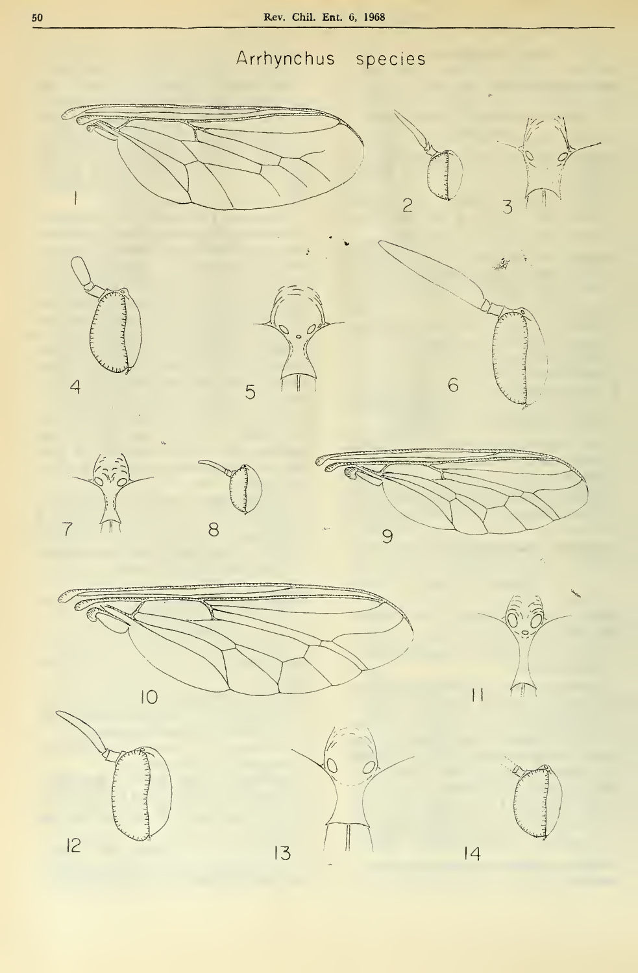# Arrhynchus species

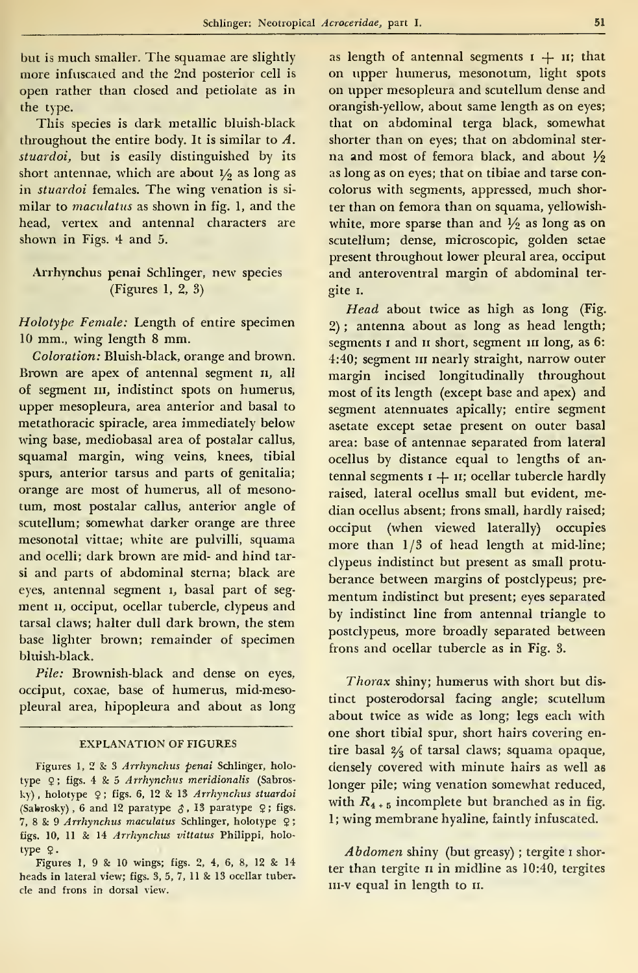but is much smaller. The squamae are slightly more infuscaled and the 2nd posterior cell is open rather than closed and petiolate as in the type.

This species is dark metallic bluish-black throughout the entire body. It is similar to A. stuardoi, but is easily distinguished by its short antennae, which are about  $1/2$  as long as in stuardoi females. The wing venation is similar to maculatus as shown in fig. 1, and the head, vertex and antennal characters are shown in Figs. 4 and 5.

## Arrhynchus penai Schlinger, new species (Figures 1, 2, 3)

Holotype Female: Length of entire specimen <sup>10</sup> mm., wing length <sup>8</sup> mm.

Coloration: Bluish-black, orange and brown. Brown are apex of antennal segment  $n$ , all o£ segment ni, indistinct spots on humerus, upper mesopleura, area anterior and basal to metathoracic spiracle, area immediately below wing base, mediobasal area of postalar callus, squamal margin, wing veins, knees, tibial spurs, anterior tarsus and parts of genitalia; orange are most of humerus, all of mesonotum, most postalar callus, anterior angle of scutellum; somewhat darker orange are three mesonotal vittae; white are pulvilli, squama and ocelli; dark brown are mid- and hind tarsi and parts of abdominal sterna; black are eyes, antennal segment 1, basal part of segment II, occiput, ocellar tubercle, clypeus and tarsal claws; halter dull dark brown, the stem base lighter brown; remainder of specimen bluish-black.

Pile: Brownish-black and dense on eyes, occiput, coxae, base of humerus, mid-mesopleural área, hipopleura and about as long

### EXPLANATION OF FIGURES

Figures 1, 2 & <sup>3</sup> Arrhynchus penai Schlinger, holo type 9; figs. 4 & 5 Arrhynchus meridionalis (Sabrosky), holotype 2; figs. 6, 12 & 13 Arrhynchus stuardoi (Sabrosky), 6 and 12 paratype  $\xi$ , 13 paratype  $\varphi$ ; figs. 7, 8 8: 9 Arrhynchus maculatus Schlinger, holotype 2 figs. 10, <sup>11</sup> & 14 Arrhynchus vittatus Philippi, holo type 2.

Figures 1, 9 & 10 wings; figs. 2, 4, 6, 8, 12 & 14 heads in lateral view; figs. 3, 5, 7, <sup>11</sup> & 13 ocellar tuber. ele and frons in dorsal view.

as length of antennal segments  $i + u$ ; that on upper humerus, mesonotum, light spots on upper mesopleura and scutellum dense and orangish-yellow, about same length as on eyes; that on abdominal terga black, somewhat shorter than on eyes; that on abdominal ster na and most of femora black, and about  $\frac{1}{2}$ as long as on eyes; that on tibiae and tarse concolorus with segments, appressed, much shorter than on femora than on squama, yellowish white, more sparse than and  $\frac{1}{2}$  as long as on scutellum; dense, microscopic, golden setae present throughout lower pleural area, occiput and anteroventral margin of abdominal ter gite i.

Head about twice as high as long (Fig. 2) ; antenna about as long as head length; segments I and II short, segment III long, as 6: 4:40; segment III nearly straight, narrow outer margin incised longitudinally throughout most of its length (except base and apex) and segment atennuates apically; entire segment asetate except setae present on outer basal área: base of antennae separated from lateral ocellus by distance equal to lengths of an tennal segments  $i + u$ ; ocellar tubercle hardly raised, lateral ocellus small but evident, median ocellus absent; frons small, hardly raised; occiput (when viewed laterally) oceupies more than 1/3 of head length at mid-line; clypeus indistinct but present as small protu berance between margins of postclypeus; pre mentum indistinct but present; eyes separated by indistinct line from antennal triangle to postclypeus, more broadly separated between frons and ocellar tubercle as in Fig. 3.

Thorax shiny; humerus with short but dis tinct posterodorsal facing angle; scutellum about twice as wide as long; legs each with one short tibial spur, short hairs covering entire basal 2/3 of tarsal claws; squama opaque, densely covered with minute hairs as well as longer pile; wing venation somewhat reduced, with  $R_{4+5}$  incomplete but branched as in fig. 1; wing membrane hyaline, faintly infuscated.

Abdomen shiny (but greasy) ; tergite <sup>i</sup> shorter than tergite *n* in midline as 10:40, tergites in-v equal in length to n.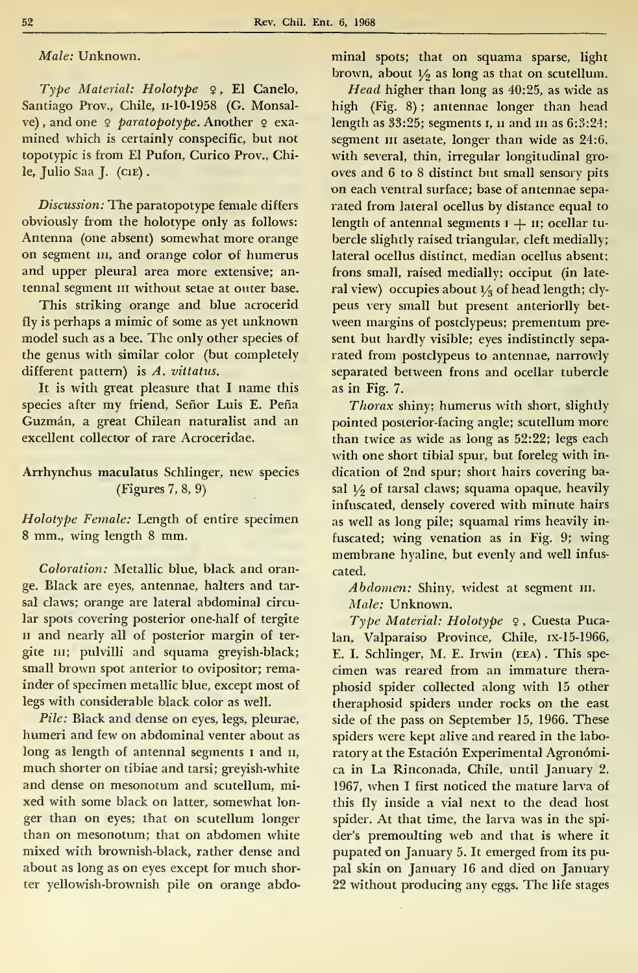Male: Unknown.

Type Material: Holotype  $\varphi$ , El Canelo, Santiago Prov., Chile, n-10-1958 (G. Monsalve), and one  $9$  paratopotype. Another  $9$  examined which is certainly conspecific, but not topotypic is from El Pufon, Curico Prov., Chile, Julio Saa J. (CIE).

Discussion: The paratopotype female differs obviously from the holotype only as follows: Antenna (one absent) somewhat more orange on segment *m*, and orange color of humerus and upper pleural area more extensive; antennal segment  $n$  without setae at outer base.

This striking orange and blue acrocerid fly is perhaps a mimic of some as yet unknown model such as a bee. The only other species of the genus with similar color (but completely different pattern) is A. vittatus.

It is with great pleasure that I name this species after my friend, Señor Luis E. Peña Guzmán, a great Chilean naturalist and an excellent collector of rare Acroceridae.

## Arrhynchus maculatus Schlinger, new species (Figures 7, 8, 9)

Holotype Female: Length of entire specimen <sup>8</sup> mm., wing length <sup>8</sup> mm.

Coloration: Metallic blue, black and orange. Black are eyes, antennae, halters and tar sal claws; orange are lateral abdominal circular spots covering posterior one-half of tergite n and nearly all of posterior margin of ter gite III; pulvilli and squama greyish-black; small brown spot anterior to ovipositor; remainder of specimen metallic blue, except most of legs with considerable black color as well.

Pile: Black and dense on eyes, legs, pleurae, humeri and few on abdominal venter about as long as length of antennal segments 1 and 11, much shorter on tibiae and tarsi; greyish-white and dense on mesonotum and scutellum, mi xed with some black on latter, somewhat lon ger than on eyes; that on scutellum longer than on mesonotum; that on abdomen white mixed with brownish-black, rather dense and about as long as on eyes except for much shorter yellowish-brownish pile on orange abdominal spots; that on squama sparse, light brown, about  $1/2$  as long as that on scutellum.

Head higher than long as 40:25, as wide as high (Fig. 8) ; antennae longer than head length as 33:25; segments 1, 11 and 111 as 6:3:24; segment in asetate, longer than wide as 24:6. with several, thin, irregular longitudinal gro oves and 6 to 8 distinct but small sensory pits on each ventral surface; base of antennae sepa rated from lateral ocellus by distance equal to length of antennal segments  $1 + 11$ ; ocellar tubercle slightly raised triangular, cleft medially; lateral ocellus distinct, median ocellus absent; frons small, raised medially; occiput (in late ral view) occupies about  $1/2$  of head length; clypeus very small but present anteriorlly bet ween margins of postclypeus; prementum pre sent but hardly visible; eyes indistinctly sepa rated from postclypeus to antennae, narrowly separated between frons and ocellar tubercle as in Fig. 7.

Thorax shiny; humerus with short, slightly pointed posterior-facing angle; scutellum more than twice as wide as long as 52:22; legs each with one short tibial spur, but foreleg with in dication of 2nd spur; short hairs covering basal  $1/2$  of tarsal claws; squama opaque, heavily infuscated, densely covered with minute hairs as well as long pile; squamal rims heavily in fuscated; wing venation as in Fig. 9; wing membrane hyaline, but evenly and well infus cated.

Abdomen: Shiny, widest at segment III. Male: Unknown.

Type Material: Holotype  $\varphi$ , Cuesta Pucalan, Valparaíso Province, Chile, ix-15-1966, E. I. Schlinger, M. E. Irwin (eea) . This spe cimen was reared from an immature thera phosid spider collected along with 15 other theraphosid spiders under rocks on the east side of the pass on September 15, 1966. These spiders were kept alive and reared in the labo ratory at the Estación Experimental Agronómica in La Rinconada, Chile, until January 2, 1967, when <sup>I</sup> first noticed the mature larva of this fly inside a vial next to the dead host spider. At that time, the larva was in the spi der's premoulting web and that is where it pupated on January 5. It emerged from its pupal skin on January 16 and died on January 22 without producing any eggs. The life stages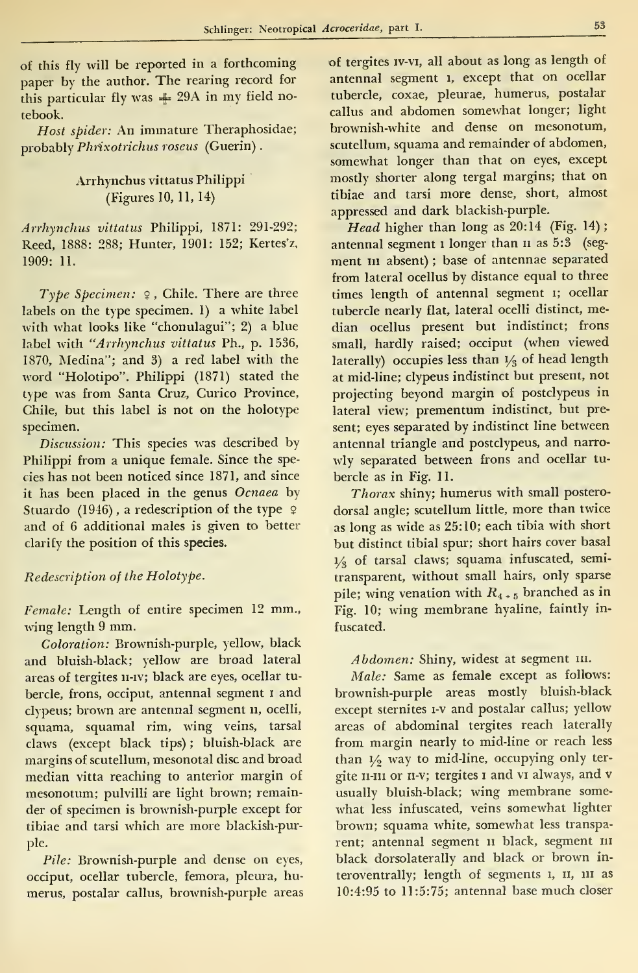of this fly will be reported in a forthcoming paper by the author. The rearing record for this particular fly was  $+ 29A$  in my field notebook.

Host spider: An immature Theraphosidae; probably Phríxotrichus rosens (Guerin) .

# Arrhynchus vittatus Philippi (Figures 10, 11, 14)

Arrhynchus vittatus Philippi, 1871: 291-292; Reed, 1888: 288; Hunter, 1901: 152; Kertes'z, 1909: 11.

Type Specimen:  $9$ , Chile. There are three labels on the type specimen. 1) a white label with what looks like "chonulagui"; 2) a blue label with "Arrhynchus vittatus Ph., p. 1536, 1870, Medina"; and 3) a red label with the word "Holotipo". Philippi (1871) stated the type was from Santa Cruz, Curico Province, Chile, but this label is not on the holotype specimen.

Discussion: This species was described by Philippi from a unique female. Since the species has not been noticed since 1871, and since it has been placed in the genus Ocnaea by Stuardo (1946), a redescription of the type  $\varphi$ and of 6 additional males is given to better clarify the position of this species.

## Redescription of the Holotype.

Female: Length of entire specimen 12 mm., wing length <sup>9</sup> mm.

Coloration: Brownish-purple, yellow, black and bluish-black; yellow are broad lateral areas of tergites 11-iv; black are eyes, ocellar tubercle, frons, occiput, antennal segment <sup>1</sup> and clypeus; brown are antennal segment 11, ocelli, squama, squamal rim, wing veins, tarsal claws (except black tips) ; bluish-black are margins of scutellum, mesonotal disc and broad median vitta reaching to anterior margin of mesonotum; pulvilli are light brown; remainder of specimen is brownish-purple except for tibiae and tarsi which are more blackish-purple.

Pile: Brownish-purple and dense on eyes, occiput, ocellar tubercle, femora, pleura, humerus, postalar callus, brownish-purple áreas of tergites iv-vi, all about as long as length of antennal segment 1, except that on ocellar tubercle, coxae, pleurae, humerus, postalar callus and abdomen somewhat longer; light brownish-white and dense on mesonotum, scutellum, squama and remainder of abdomen, somewhat longer than that on eyes, except mostly shorter along tergal margins; that on tibiae and tarsi more dense, short, almost appressed and dark blackish-purple.

Head higher than long as 20:14 (Fig. 14); antennal segment 1 longer than 11 as 5:3 (segment III absent) ; base of antennae separated from lateral ocellus by distance equal to three times length of antennal segment 1; ocellar tubercle nearly fíat, lateral ocelli distinct, median ocellus present but indistinct; frons small, hardly raised; occiput (when viewed laterally) occupies less than  $1/3$  of head length at mid-line; clypeus indistinct but present, not projecting beyond margin of postclypeus in lateral view; prementum indistinct, but present; eyes separated by indistinct line between antennal triangle and postclypeus, and narro wly separated between frons and ocellar tu bercle as in Fig. 11.

Thorax shiny; humerus with small postero dorsal angle; scutellum little, more than twice as long as wide as 25:10; each tibia with short but distinct tibial spur; short hairs cover basal  $1/3$  of tarsal claws; squama infuscated, semitransparent, without small hairs, only sparse pile; wing venation with  $R_{4+5}$  branched as in Fig. 10; wing membrane hyaline, faintly in fuscated.

Abdomen: Shiny, widest at segment III.

Male: Same as female except as follows: brownish-purple areas mostly bluish-black except sternites i-v and postalar callus; yellow áreas of abdominal tergites reach laterally from margin nearly to mid-line or reach less than  $1/2$  way to mid-line, occupying only tergite II-III or II-V; tergites I and VI always, and v usually bluish-black; wing membrane some what less infuscated, veins somewhat lighter brown; squama white, somewhat less transparent; antennal segment 11 black, segment 111 black dorsolaterally and black or brown in teroventrally; length of segments 1, II, III as 10:4:95 to 11:5:75; antennal base much closer